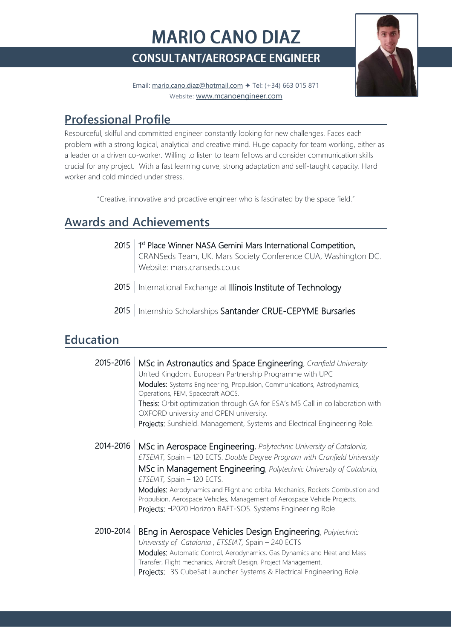# **MARIO CANO DIAZ CONSULTANT/AEROSPACE ENGINEER**



Email: [mario.cano.diaz@hotmail.com](mailto:mario.cano.diaz@hotmail.com) ✦ Tel: (+34) 663 015 871 Website: [www.mcanoengineer.com](http://www.mcanoengineer.com/)

# **Professional Profile**

Resourceful, skilful and committed engineer constantly looking for new challenges. Faces each problem with a strong logical, analytical and creative mind. Huge capacity for team working, either as a leader or a driven co-worker. Willing to listen to team fellows and consider communication skills crucial for any project. With a fast learning curve, strong adaptation and self-taught capacity. Hard worker and cold minded under stress.

"Creative, innovative and proactive engineer who is fascinated by the space field."

# **Awards and Achievements**

| 2015 1 <sup>st</sup> Place Winner NASA Gemini Mars International Competition,<br>CRANSeds Team, UK. Mars Society Conference CUA, Washington DC.<br>Website: mars.cranseds.co.uk |
|---------------------------------------------------------------------------------------------------------------------------------------------------------------------------------|
| 2015   International Exchange at Illinois Institute of Technology                                                                                                               |
| 2015   Internship Scholarships Santander CRUE-CEPYME Bursaries                                                                                                                  |

### **Education**

| 2015-2016 | MSc in Astronautics and Space Engineering, Cranfield University<br>United Kingdom. European Partnership Programme with UPC<br>Modules: Systems Engineering, Propulsion, Communications, Astrodynamics,<br>Operations, FEM, Spacecraft AOCS.<br>Thesis: Orbit optimization through GA for ESA's M5 Call in collaboration with<br>OXFORD university and OPEN university.<br>Projects: Sunshield. Management, Systems and Electrical Engineering Role.                                 |
|-----------|-------------------------------------------------------------------------------------------------------------------------------------------------------------------------------------------------------------------------------------------------------------------------------------------------------------------------------------------------------------------------------------------------------------------------------------------------------------------------------------|
| 2014-2016 | MSc in Aerospace Engineering, Polytechnic University of Catalonia,<br>ETSEIAT, Spain - 120 ECTS. Double Degree Program with Cranfield University<br>MSc in Management Engineering, Polytechnic University of Catalonia,<br>ETSEIAT, Spain - 120 ECTS.<br>Modules: Aerodynamics and Flight and orbital Mechanics, Rockets Combustion and<br>Propulsion, Aerospace Vehicles, Management of Aerospace Vehicle Projects.<br>Projects: H2020 Horizon RAFT-SOS. Systems Engineering Role. |
| 2010-2014 | BEng in Aerospace Vehicles Design Engineering, Polytechnic<br>University of Catalonia, ETSEIAT, Spain - 240 ECTS<br>Modules: Automatic Control, Aerodynamics, Gas Dynamics and Heat and Mass<br>Transfer, Flight mechanics, Aircraft Design, Project Management.<br>Projects: L3S CubeSat Launcher Systems & Electrical Engineering Role.                                                                                                                                           |